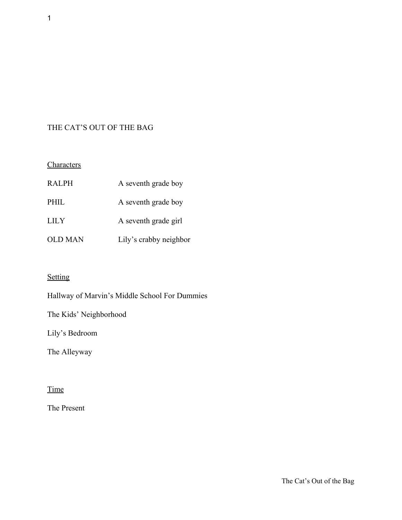# THE CAT'S OUT OF THE BAG

# **Characters**

| RALPH          | A seventh grade boy    |
|----------------|------------------------|
| PHIL           | A seventh grade boy    |
| <b>LILY</b>    | A seventh grade girl   |
| <b>OLD MAN</b> | Lily's crabby neighbor |

# **Setting**

Hallway of Marvin's Middle School For Dummies

The Kids' Neighborhood

Lily's Bedroom

The Alleyway

# **Time**

The Present

1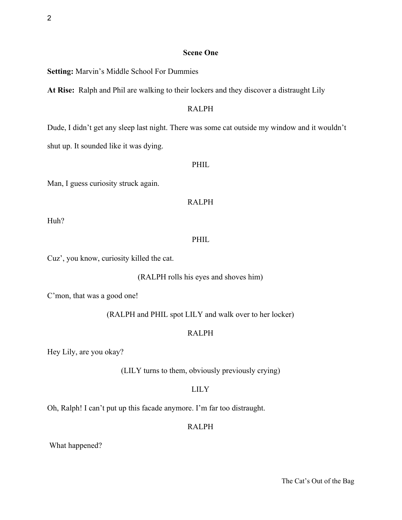# **Scene One**

**Setting:** Marvin's Middle School For Dummies

**At Rise:**  Ralph and Phil are walking to their lockers and they discover a distraught Lily

# RALPH

Dude, I didn't get any sleep last night. There was some cat outside my window and it wouldn't shut up. It sounded like it was dying.

#### PHIL

Man, I guess curiosity struck again.

## RALPH

Huh?

# PHIL.

Cuz', you know, curiosity killed the cat.

### (RALPH rolls his eyes and shoves him)

C'mon, that was a good one!

(RALPH and PHIL spot LILY and walk over to her locker)

### RALPH

Hey Lily, are you okay?

(LILY turns to them, obviously previously crying)

# LILY

Oh, Ralph! I can't put up this facade anymore. I'm far too distraught.

# RALPH

What happened?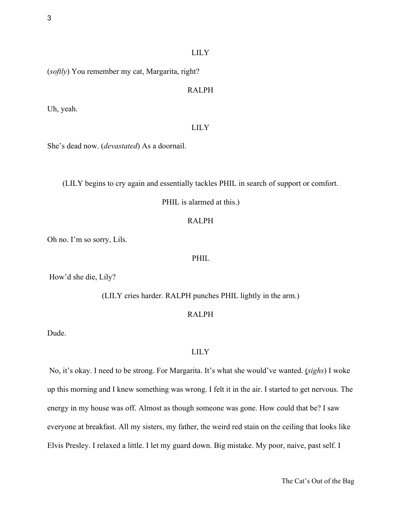(*softly*) You remember my cat, Margarita, right?

#### RALPH

Uh, yeah.

### LILY

She's dead now. (*devastated*) As a doornail.

(LILY begins to cry again and essentially tackles PHIL in search of support or comfort.

PHIL is alarmed at this.)

#### RALPH

Oh no. I'm so sorry, Lils.

#### PHIL

How'd she die, Lily?

(LILY cries harder. RALPH punches PHIL lightly in the arm.)

# RALPH

Dude.

# LILY

 No, it's okay. I need to be strong. For Margarita. It's what she would've wanted. (*sighs*) I woke up this morning and I knew something was wrong. I felt it in the air. I started to get nervous. The energy in my house was off. Almost as though someone was gone. How could that be? I saw everyone at breakfast. All my sisters, my father, the weird red stain on the ceiling that looks like Elvis Presley. I relaxed a little. I let my guard down. Big mistake. My poor, naive, past self. I

The Cat's Out of the Bag

3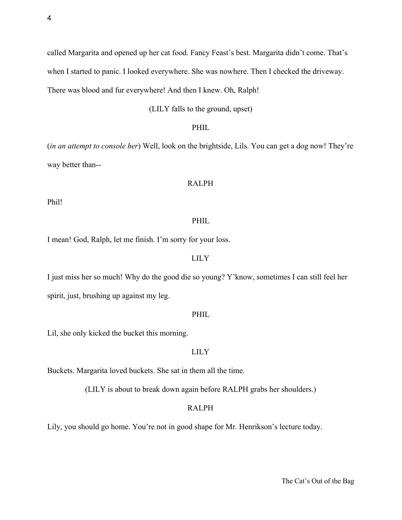called Margarita and opened up her cat food. Fancy Feast's best. Margarita didn't come. That's when I started to panic. I looked everywhere. She was nowhere. Then I checked the driveway. There was blood and fur everywhere! And then I knew. Oh, Ralph!

(LILY falls to the ground, upset)

#### PHIL

(*in an attempt to console her*) Well, look on the brightside, Lils. You can get a dog now! They're way better than--

## RALPH

Phil!

# PHIL

I mean! God, Ralph, let me finish. I'm sorry for your loss.

#### LILY

I just miss her so much! Why do the good die so young? Y'know, sometimes I can still feel her spirit, just, brushing up against my leg.

#### PHIL

Lil, she only kicked the bucket this morning.

#### LILY

Buckets. Margarita loved buckets. She sat in them all the time.

(LILY is about to break down again before RALPH grabs her shoulders.)

# RALPH

Lily, you should go home. You're not in good shape for Mr. Henrikson's lecture today.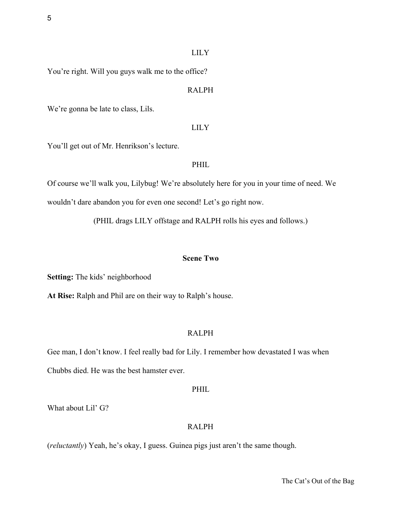You're right. Will you guys walk me to the office?

#### RALPH

We're gonna be late to class, Lils.

#### LILY

You'll get out of Mr. Henrikson's lecture.

### PHIL

Of course we'll walk you, Lilybug! We're absolutely here for you in your time of need. We wouldn't dare abandon you for even one second! Let's go right now.

(PHIL drags LILY offstage and RALPH rolls his eyes and follows.)

#### **Scene Two**

**Setting:** The kids' neighborhood

**At Rise:** Ralph and Phil are on their way to Ralph's house.

### RALPH

Gee man, I don't know. I feel really bad for Lily. I remember how devastated I was when Chubbs died. He was the best hamster ever.

#### PHIL

What about Lil' G?

### RALPH

(*reluctantly*) Yeah, he's okay, I guess. Guinea pigs just aren't the same though.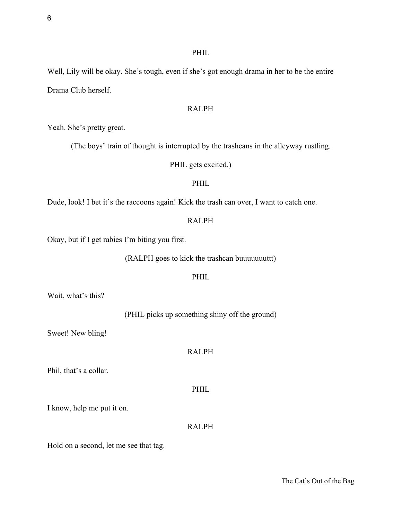Well, Lily will be okay. She's tough, even if she's got enough drama in her to be the entire Drama Club herself.

# RALPH

Yeah. She's pretty great.

(The boys' train of thought is interrupted by the trashcans in the alleyway rustling.

PHIL gets excited.)

## PHIL

Dude, look! I bet it's the raccoons again! Kick the trash can over, I want to catch one.

## RALPH

Okay, but if I get rabies I'm biting you first.

(RALPH goes to kick the trashcan buuuuuuuttt)

#### PHIL

Wait, what's this?

(PHIL picks up something shiny off the ground)

Sweet! New bling!

# RALPH

Phil, that's a collar.

PHIL

I know, help me put it on.

# RALPH

Hold on a second, let me see that tag.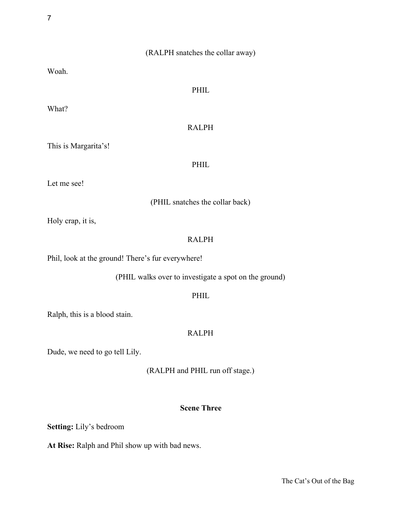# (RALPH snatches the collar away)

Woah.

# PHIL

What?

# RALPH

This is Margarita's!

PHIL

Let me see!

(PHIL snatches the collar back)

Holy crap, it is,

# RALPH

Phil, look at the ground! There's fur everywhere!

(PHIL walks over to investigate a spot on the ground)

### PHIL

Ralph, this is a blood stain.

### RALPH

Dude, we need to go tell Lily.

(RALPH and PHIL run off stage.)

## **Scene Three**

**Setting:** Lily's bedroom

**At Rise:** Ralph and Phil show up with bad news.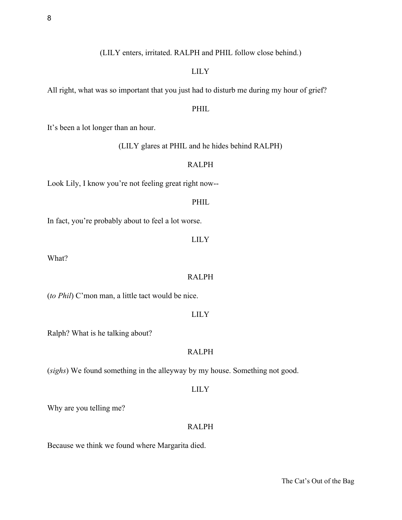(LILY enters, irritated. RALPH and PHIL follow close behind.)

#### LILY

All right, what was so important that you just had to disturb me during my hour of grief?

# PHIL

It's been a lot longer than an hour.

(LILY glares at PHIL and he hides behind RALPH)

## RALPH

Look Lily, I know you're not feeling great right now--

#### PHIL

In fact, you're probably about to feel a lot worse.

### LILY

What?

#### RALPH

(*to Phil*) C'mon man, a little tact would be nice.

#### LILY

Ralph? What is he talking about?

# RALPH

(*sighs*) We found something in the alleyway by my house. Something not good.

#### LILY

Why are you telling me?

# RALPH

Because we think we found where Margarita died.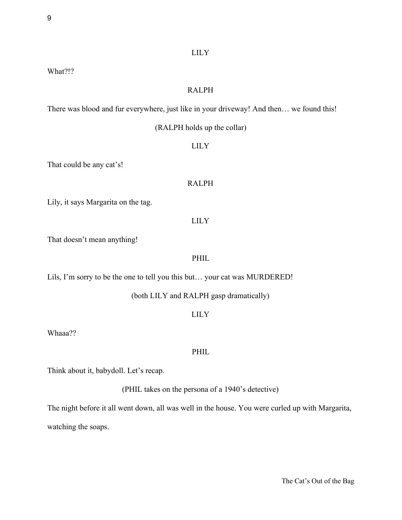What?!?

#### RALPH

There was blood and fur everywhere, just like in your driveway! And then… we found this!

(RALPH holds up the collar)

### LILY

That could be any cat's!

## RALPH

Lily, it says Margarita on the tag.

## LILY

That doesn't mean anything!

#### PHIL

Lils, I'm sorry to be the one to tell you this but… your cat was MURDERED!

#### (both LILY and RALPH gasp dramatically)

### LILY

Whaaa??

#### PHIL

Think about it, babydoll. Let's recap.

(PHIL takes on the persona of a 1940's detective)

The night before it all went down, all was well in the house. You were curled up with Margarita,

watching the soaps.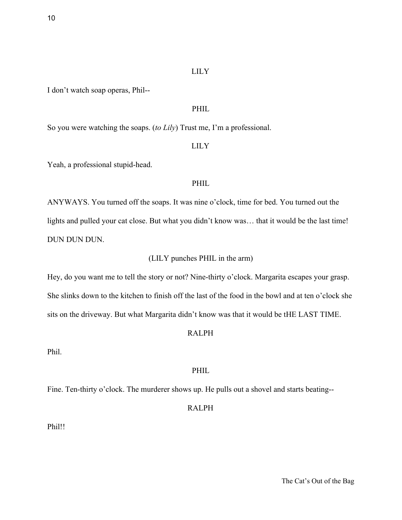I don't watch soap operas, Phil--

### PHIL

So you were watching the soaps. (*to Lily*) Trust me, I'm a professional.

### LILY

Yeah, a professional stupid-head.

### PHIL

ANYWAYS. You turned off the soaps. It was nine o'clock, time for bed. You turned out the lights and pulled your cat close. But what you didn't know was... that it would be the last time! DUN DUN DUN.

#### (LILY punches PHIL in the arm)

Hey, do you want me to tell the story or not? Nine-thirty o'clock. Margarita escapes your grasp. She slinks down to the kitchen to finish off the last of the food in the bowl and at ten o'clock she sits on the driveway. But what Margarita didn't know was that it would be tHE LAST TIME.

#### RALPH

Phil.

# PHIL

Fine. Ten-thirty o'clock. The murderer shows up. He pulls out a shovel and starts beating--

# RALPH

Phil!!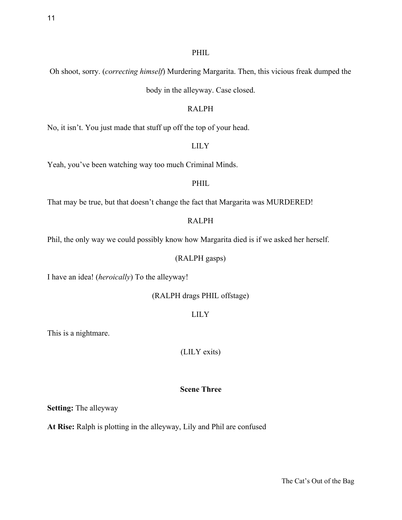# Oh shoot, sorry. (*correcting himself*) Murdering Margarita. Then, this vicious freak dumped the

body in the alleyway. Case closed.

# RALPH

No, it isn't. You just made that stuff up off the top of your head.

# LILY

Yeah, you've been watching way too much Criminal Minds.

# PHIL

That may be true, but that doesn't change the fact that Margarita was MURDERED!

# RALPH

Phil, the only way we could possibly know how Margarita died is if we asked her herself.

# (RALPH gasps)

I have an idea! (*heroically*) To the alleyway!

(RALPH drags PHIL offstage)

LILY

This is a nightmare.

(LILY exits)

# **Scene Three**

**Setting:** The alleyway

**At Rise:** Ralph is plotting in the alleyway, Lily and Phil are confused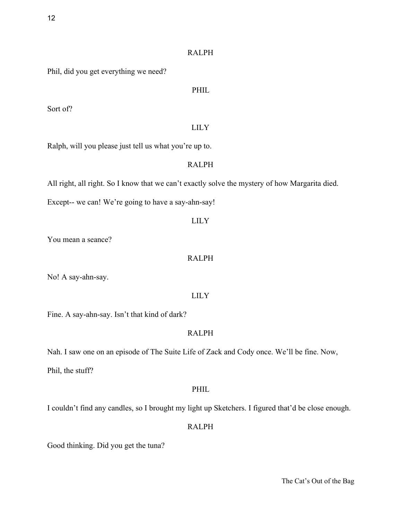# RALPH

Phil, did you get everything we need?

# PHIL

Sort of?

# LILY

Ralph, will you please just tell us what you're up to.

# RALPH

All right, all right. So I know that we can't exactly solve the mystery of how Margarita died.

Except-- we can! We're going to have a say-ahn-say!

## LILY

You mean a seance?

## RALPH

No! A say-ahn-say.

## LILY

Fine. A say-ahn-say. Isn't that kind of dark?

# RALPH

Nah. I saw one on an episode of The Suite Life of Zack and Cody once. We'll be fine. Now,

Phil, the stuff?

# PHIL

I couldn't find any candles, so I brought my light up Sketchers. I figured that'd be close enough.

# RALPH

Good thinking. Did you get the tuna?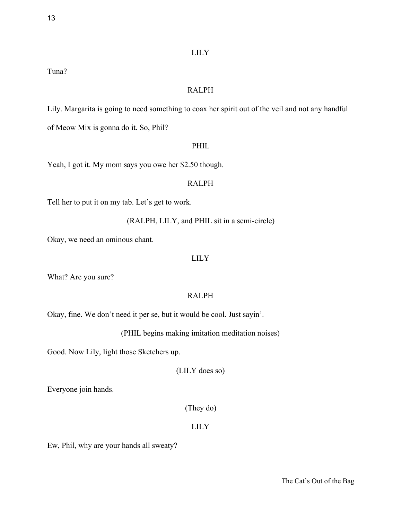Tuna?

# RALPH

Lily. Margarita is going to need something to coax her spirit out of the veil and not any handful of Meow Mix is gonna do it. So, Phil?

## PHIL

Yeah, I got it. My mom says you owe her \$2.50 though.

## RALPH

Tell her to put it on my tab. Let's get to work.

(RALPH, LILY, and PHIL sit in a semi-circle)

Okay, we need an ominous chant.

### LILY

What? Are you sure?

# RALPH

Okay, fine. We don't need it per se, but it would be cool. Just sayin'.

(PHIL begins making imitation meditation noises)

Good. Now Lily, light those Sketchers up.

(LILY does so)

Everyone join hands.

(They do)

## LILY

Ew, Phil, why are your hands all sweaty?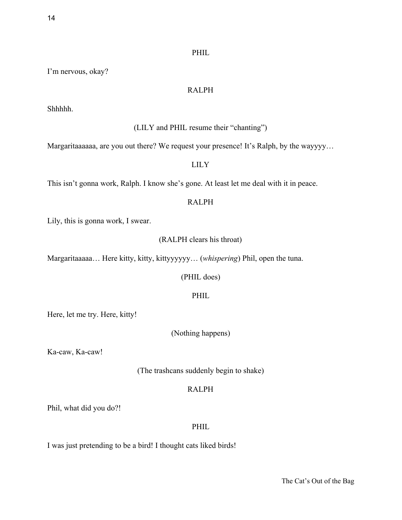I'm nervous, okay?

#### RALPH

Shhhhh.

### (LILY and PHIL resume their "chanting")

Margaritaaaaaa, are you out there? We request your presence! It's Ralph, by the wayyyy…

# LILY

This isn't gonna work, Ralph. I know she's gone. At least let me deal with it in peace.

# RALPH

Lily, this is gonna work, I swear.

### (RALPH clears his throat)

Margaritaaaaa… Here kitty, kitty, kittyyyyyy… (*whispering*) Phil, open the tuna.

#### (PHIL does)

## PHIL

Here, let me try. Here, kitty!

(Nothing happens)

Ka-caw, Ka-caw!

(The trashcans suddenly begin to shake)

# RALPH

Phil, what did you do?!

## PHIL

I was just pretending to be a bird! I thought cats liked birds!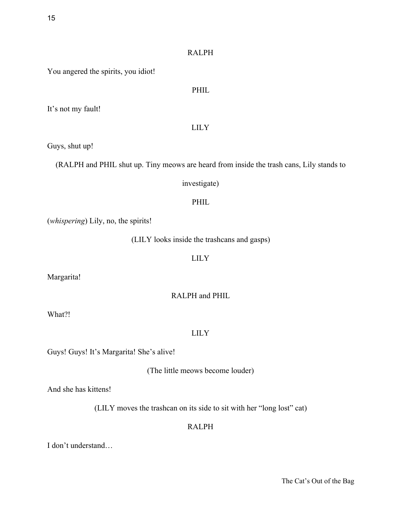# RALPH

PHIL

You angered the spirits, you idiot!

It's not my fault!

# LILY

Guys, shut up!

(RALPH and PHIL shut up. Tiny meows are heard from inside the trash cans, Lily stands to

### investigate)

## PHIL

(*whispering*) Lily, no, the spirits!

(LILY looks inside the trashcans and gasps)

LILY

Margarita!

RALPH and PHIL

What?!

## LILY

Guys! Guys! It's Margarita! She's alive!

(The little meows become louder)

And she has kittens!

(LILY moves the trashcan on its side to sit with her "long lost" cat)

# RALPH

I don't understand…

The Cat's Out of the Bag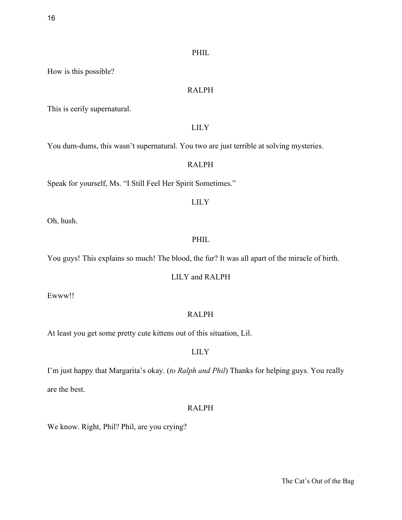How is this possible?

### RALPH

This is eerily supernatural.

### LILY

You dum-dums, this wasn't supernatural. You two are just terrible at solving mysteries.

# RALPH

Speak for yourself, Ms. "I Still Feel Her Spirit Sometimes."

### LILY

Oh, hush.

# PHIL

You guys! This explains so much! The blood, the fur? It was all apart of the miracle of birth.

#### LILY and RALPH

Ewww!!

# RALPH

At least you get some pretty cute kittens out of this situation, Lil.

## LILY

I'm just happy that Margarita's okay. (*to Ralph and Phil*) Thanks for helping guys. You really are the best.

# RALPH

We know. Right, Phil? Phil, are you crying?